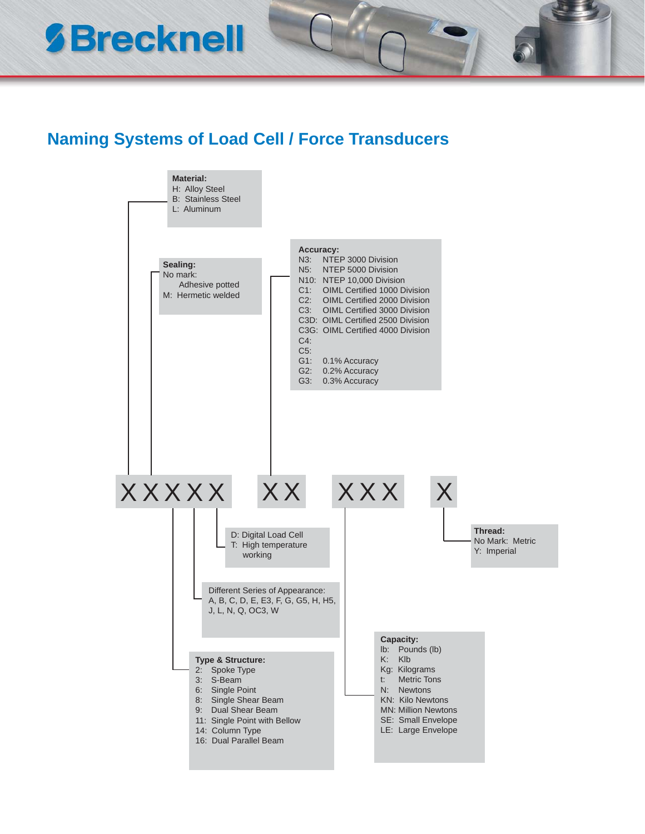## **SBrecknell**

## **Naming Systems of Load Cell / Force Transducers**